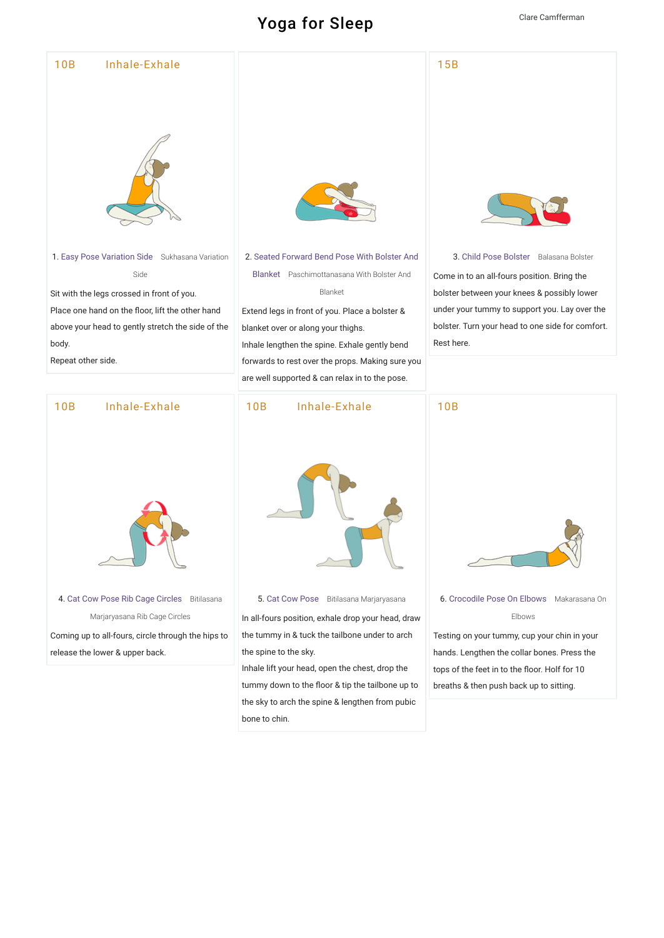## $31/20$  Yoga-for-[Sleep](https://www.tummee.com/user/yoga/sequence?lid=L36R&destPage=editMetadata)-by-Cameran  $\alpha$





4. [Cat Cow Pose Rib Cage Circles](https://www.tummee.com/yoga-poses/cat-cow-pose-rib-cage-circles) Bitilasana Marjaryasana Rib Cage Circles Coming up to all-fours, circle through the hips to

release the lower & upper back.

5. [Cat Cow Pose](https://www.tummee.com/yoga-poses/cat-cow-pose) Bitilasana Marjaryasana

In all-fours position, exhale drop your head, draw the tummy in & tuck the tailbone under to arch the spine to the sky.

Inhale lift your head, open the chest, drop the tummy down to the floor & tip the tailbone up to the sky to arch the spine & lengthen from pubic bone to chin.



6. [Crocodile Pose On Elbows](https://www.tummee.com/yoga-poses/crocodile-pose-on-elbows) Makarasana On Elbows

Testing on your tummy, cup your chin in your hands. Lengthen the collar bones. Press the tops of the feet in to the floor. Holf for 10 breaths & then push back up to sitting.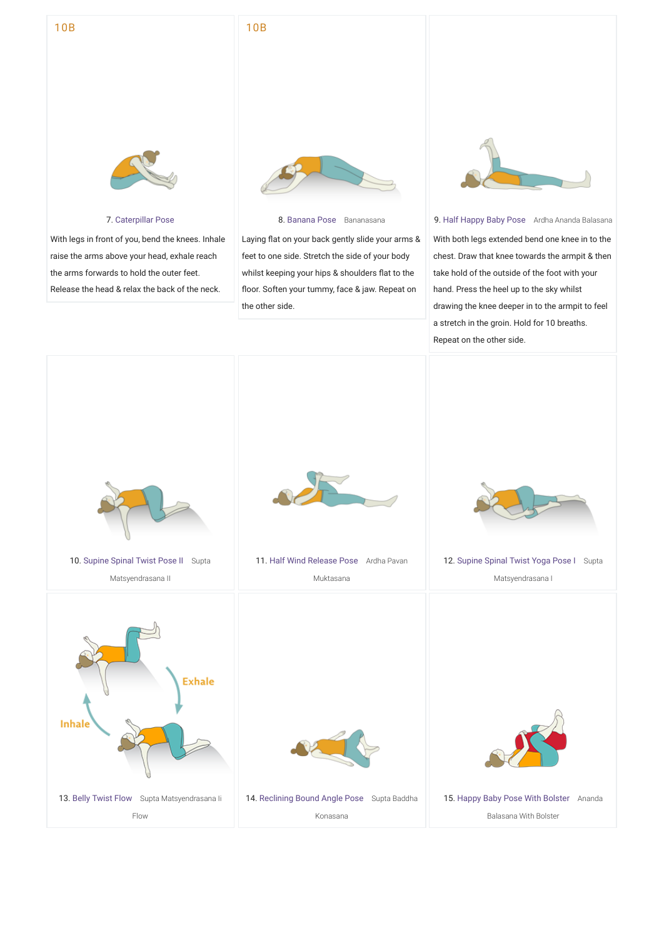## $30P$ 10B



10B

## 7. [Caterpillar Pose](https://www.tummee.com/yoga-poses/caterpillar-pose)

With legs in front of you, bend the knees. Inhale raise the arms above your head, exhale reach the arms forwards to hold the outer feet. Release the head & relax the back of the neck.



## 8. [Banana Pose](https://www.tummee.com/yoga-poses/banana-pose) Bananasana

Laying flat on your back gently slide your arms & feet to one side. Stretch the side of your body whilst keeping your hips & shoulders flat to the floor. Soften your tummy, face & jaw. Repeat on the other side.



9. [Half Happy Baby Pose](https://www.tummee.com/yoga-poses/half-happy-baby-pose) Ardha Ananda Balasana With both legs extended bend one knee in to the chest. Draw that knee towards the armpit & then take hold of the outside of the foot with your hand. Press the heel up to the sky whilst drawing the knee deeper in to the armpit to feel a stretch in the groin. Hold for 10 breaths. Repeat on the other side.